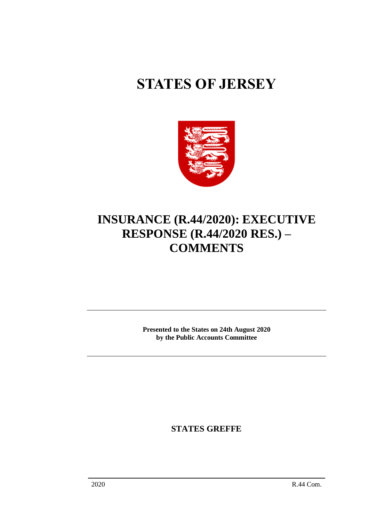# **STATES OF JERSEY**



## **INSURANCE (R.44/2020): EXECUTIVE RESPONSE (R.44/2020 RES.) – COMMENTS**

**Presented to the States on 24th August 2020 by the Public Accounts Committee**

**STATES GREFFE**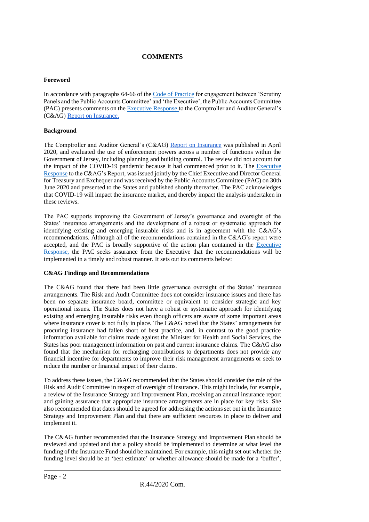### **COMMENTS**

#### **Foreword**

In accordance with paragraphs 64-66 of th[e Code of Practice](https://statesassembly.gov.je/sitecollectiondocuments/pacengagementcode.pdf) for engagement between 'Scrutiny Panels and the Public Accounts Committee' and 'the Executive', the Public Accounts Committee (PAC) presents comments on the [Executive Response](https://statesassembly.gov.je/assemblyreports/2020/r.44-2020res.pdf) to the Comptroller and Auditor General's (C&AG[\) Report on Insurance.](https://www.jerseyauditoffice.je/wp-content/uploads/2020/04/CAG-Report-Insurance-27.04.2020.pdf)

#### **Background**

The Comptroller and Auditor General's (C&AG) [Report on Insurance](https://www.jerseyauditoffice.je/wp-content/uploads/2020/04/CAG-Report-Insurance-27.04.2020.pdf) was published in April 2020, and evaluated the use of enforcement powers across a number of functions within the Government of Jersey, including planning and building control. The review did not account for the impact of the COVID-19 pandemic because it had commenced prior to it. The [Executive](https://statesassembly.gov.je/assemblyreports/2020/r.44-2020res.pdf)  [Response](https://statesassembly.gov.je/assemblyreports/2020/r.44-2020res.pdf) to the C&AG's Report, was issued jointly by the Chief Executive and Director General for Treasury and Exchequer and was received by the Public Accounts Committee (PAC) on 30th June 2020 and presented to the States and published shortly thereafter. The PAC acknowledges that COVID-19 will impact the insurance market, and thereby impact the analysis undertaken in these reviews.

The PAC supports improving the Government of Jersey's governance and oversight of the States' insurance arrangements and the development of a robust or systematic approach for identifying existing and emerging insurable risks and is in agreement with the C&AG's recommendations. Although all of the recommendations contained in the C&AG's report were accepted, and the PAC is broadly supportive of the action plan contained in the [Executive](https://statesassembly.gov.je/assemblyreports/2020/r.44-2020res.pdf)  [Response,](https://statesassembly.gov.je/assemblyreports/2020/r.44-2020res.pdf) the PAC seeks assurance from the Executive that the recommendations will be implemented in a timely and robust manner. It sets out its comments below:

#### **C&AG Findings and Recommendations**

The C&AG found that there had been little governance oversight of the States' insurance arrangements. The Risk and Audit Committee does not consider insurance issues and there has been no separate insurance board, committee or equivalent to consider strategic and key operational issues. The States does not have a robust or systematic approach for identifying existing and emerging insurable risks even though officers are aware of some important areas where insurance cover is not fully in place. The C&AG noted that the States' arrangements for procuring insurance had fallen short of best practice, and, in contrast to the good practice information available for claims made against the Minister for Health and Social Services, the States has poor management information on past and current insurance claims. The C&AG also found that the mechanism for recharging contributions to departments does not provide any financial incentive for departments to improve their risk management arrangements or seek to reduce the number or financial impact of their claims.

To address these issues, the C&AG recommended that the States should consider the role of the Risk and Audit Committee in respect of oversight of insurance. This might include, for example, a review of the Insurance Strategy and Improvement Plan, receiving an annual insurance report and gaining assurance that appropriate insurance arrangements are in place for key risks. She also recommended that dates should be agreed for addressing the actions set out in the Insurance Strategy and Improvement Plan and that there are sufficient resources in place to deliver and implement it.

The C&AG further recommended that the Insurance Strategy and Improvement Plan should be reviewed and updated and that a policy should be implemented to determine at what level the funding of the Insurance Fund should be maintained. For example, this might set out whether the funding level should be at 'best estimate' or whether allowance should be made for a 'buffer',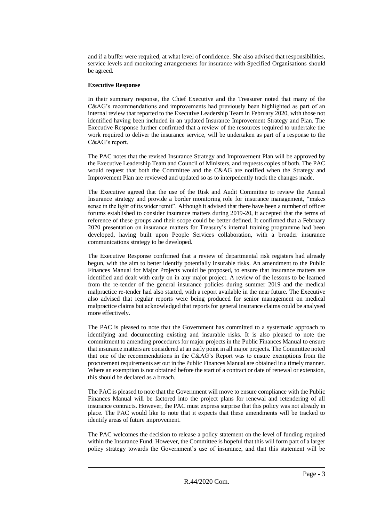and if a buffer were required, at what level of confidence. She also advised that responsibilities, service levels and monitoring arrangements for insurance with Specified Organisations should be agreed.

#### **Executive Response**

In their summary response, the Chief Executive and the Treasurer noted that many of the C&AG's recommendations and improvements had previously been highlighted as part of an internal review that reported to the Executive Leadership Team in February 2020, with those not identified having been included in an updated Insurance Improvement Strategy and Plan. The Executive Response further confirmed that a review of the resources required to undertake the work required to deliver the insurance service, will be undertaken as part of a response to the C&AG's report.

The PAC notes that the revised Insurance Strategy and Improvement Plan will be approved by the Executive Leadership Team and Council of Ministers, and requests copies of both. The PAC would request that both the Committee and the C&AG are notified when the Strategy and Improvement Plan are reviewed and updated so as to interpedently track the changes made.

The Executive agreed that the use of the Risk and Audit Committee to review the Annual Insurance strategy and provide a border monitoring role for insurance management, "makes sense in the light of its wider remit". Although it advised that there have been a number of officer forums established to consider insurance matters during 2019-20, it accepted that the terms of reference of these groups and their scope could be better defined. It confirmed that a February 2020 presentation on insurance matters for Treasury's internal training programme had been developed, having built upon People Services collaboration, with a broader insurance communications strategy to be developed.

The Executive Response confirmed that a review of departmental risk registers had already begun, with the aim to better identify potentially insurable risks. An amendment to the Public Finances Manual for Major Projects would be proposed, to ensure that insurance matters are identified and dealt with early on in any major project. A review of the lessons to be learned from the re-tender of the general insurance policies during summer 2019 and the medical malpractice re-tender had also started, with a report available in the near future. The Executive also advised that regular reports were being produced for senior management on medical malpractice claims but acknowledged that reports for general insurance claims could be analysed more effectively.

The PAC is pleased to note that the Government has committed to a systematic approach to identifying and documenting existing and insurable risks. It is also pleased to note the commitment to amending procedures for major projects in the Public Finances Manual to ensure that insurance matters are considered at an early point in all major projects. The Committee noted that one of the recommendations in the C&AG's Report was to ensure exemptions from the procurement requirements set out in the Public Finances Manual are obtained in a timely manner. Where an exemption is not obtained before the start of a contract or date of renewal or extension, this should be declared as a breach.

The PAC is pleased to note that the Government will move to ensure compliance with the Public Finances Manual will be factored into the project plans for renewal and retendering of all insurance contracts. However, the PAC must express surprise that this policy was not already in place. The PAC would like to note that it expects that these amendments will be tracked to identify areas of future improvement.

The PAC welcomes the decision to release a policy statement on the level of funding required within the Insurance Fund. However, the Committee is hopeful that this will form part of a larger policy strategy towards the Government's use of insurance, and that this statement will be